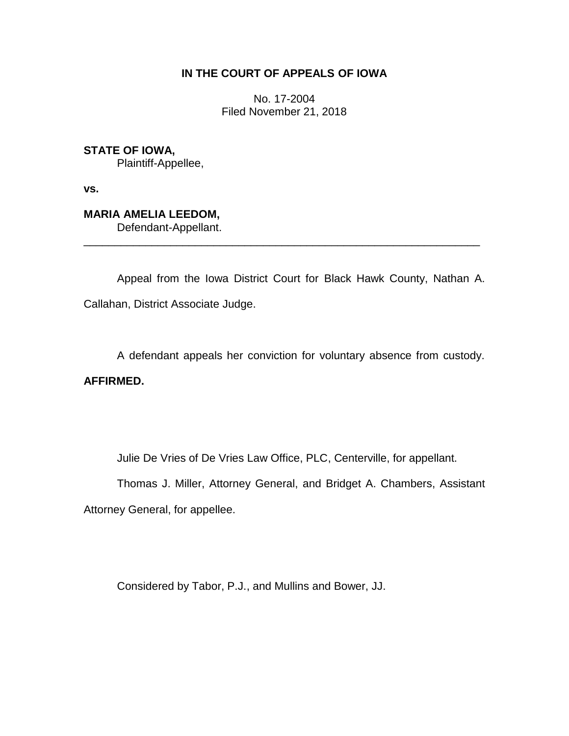## **IN THE COURT OF APPEALS OF IOWA**

No. 17-2004 Filed November 21, 2018

**STATE OF IOWA,** Plaintiff-Appellee,

**vs.**

**MARIA AMELIA LEEDOM,** Defendant-Appellant.

Appeal from the Iowa District Court for Black Hawk County, Nathan A. Callahan, District Associate Judge.

\_\_\_\_\_\_\_\_\_\_\_\_\_\_\_\_\_\_\_\_\_\_\_\_\_\_\_\_\_\_\_\_\_\_\_\_\_\_\_\_\_\_\_\_\_\_\_\_\_\_\_\_\_\_\_\_\_\_\_\_\_\_\_\_

A defendant appeals her conviction for voluntary absence from custody.

**AFFIRMED.**

Julie De Vries of De Vries Law Office, PLC, Centerville, for appellant.

Thomas J. Miller, Attorney General, and Bridget A. Chambers, Assistant Attorney General, for appellee.

Considered by Tabor, P.J., and Mullins and Bower, JJ.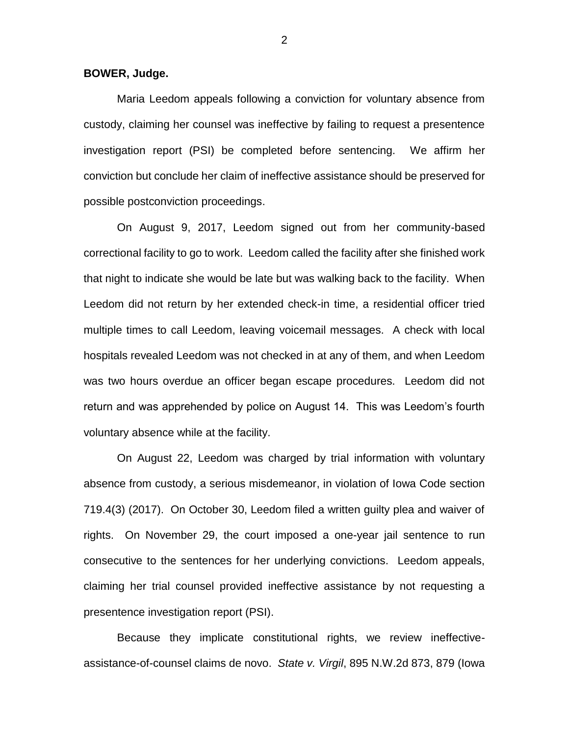**BOWER, Judge.**

Maria Leedom appeals following a conviction for voluntary absence from custody, claiming her counsel was ineffective by failing to request a presentence investigation report (PSI) be completed before sentencing. We affirm her conviction but conclude her claim of ineffective assistance should be preserved for possible postconviction proceedings.

On August 9, 2017, Leedom signed out from her community-based correctional facility to go to work. Leedom called the facility after she finished work that night to indicate she would be late but was walking back to the facility. When Leedom did not return by her extended check-in time, a residential officer tried multiple times to call Leedom, leaving voicemail messages. A check with local hospitals revealed Leedom was not checked in at any of them, and when Leedom was two hours overdue an officer began escape procedures. Leedom did not return and was apprehended by police on August 14. This was Leedom's fourth voluntary absence while at the facility.

On August 22, Leedom was charged by trial information with voluntary absence from custody, a serious misdemeanor, in violation of Iowa Code section 719.4(3) (2017). On October 30, Leedom filed a written guilty plea and waiver of rights. On November 29, the court imposed a one-year jail sentence to run consecutive to the sentences for her underlying convictions. Leedom appeals, claiming her trial counsel provided ineffective assistance by not requesting a presentence investigation report (PSI).

Because they implicate constitutional rights, we review ineffectiveassistance-of-counsel claims de novo. *State v. Virgil*, 895 N.W.2d 873, 879 (Iowa

2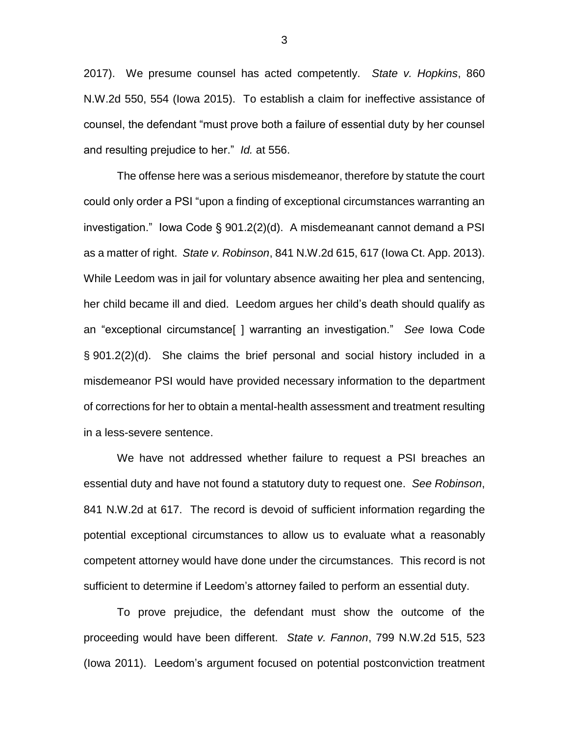2017). We presume counsel has acted competently. *State v. Hopkins*, 860 N.W.2d 550, 554 (Iowa 2015). To establish a claim for ineffective assistance of counsel, the defendant "must prove both a failure of essential duty by her counsel and resulting prejudice to her." *Id.* at 556.

The offense here was a serious misdemeanor, therefore by statute the court could only order a PSI "upon a finding of exceptional circumstances warranting an investigation." Iowa Code § 901.2(2)(d). A misdemeanant cannot demand a PSI as a matter of right. *State v. Robinson*, 841 N.W.2d 615, 617 (Iowa Ct. App. 2013). While Leedom was in jail for voluntary absence awaiting her plea and sentencing, her child became ill and died. Leedom argues her child's death should qualify as an "exceptional circumstance[ ] warranting an investigation." *See* Iowa Code § 901.2(2)(d). She claims the brief personal and social history included in a misdemeanor PSI would have provided necessary information to the department of corrections for her to obtain a mental-health assessment and treatment resulting in a less-severe sentence.

We have not addressed whether failure to request a PSI breaches an essential duty and have not found a statutory duty to request one. *See Robinson*, 841 N.W.2d at 617. The record is devoid of sufficient information regarding the potential exceptional circumstances to allow us to evaluate what a reasonably competent attorney would have done under the circumstances. This record is not sufficient to determine if Leedom's attorney failed to perform an essential duty.

To prove prejudice, the defendant must show the outcome of the proceeding would have been different. *State v. Fannon*, 799 N.W.2d 515, 523 (Iowa 2011). Leedom's argument focused on potential postconviction treatment

3